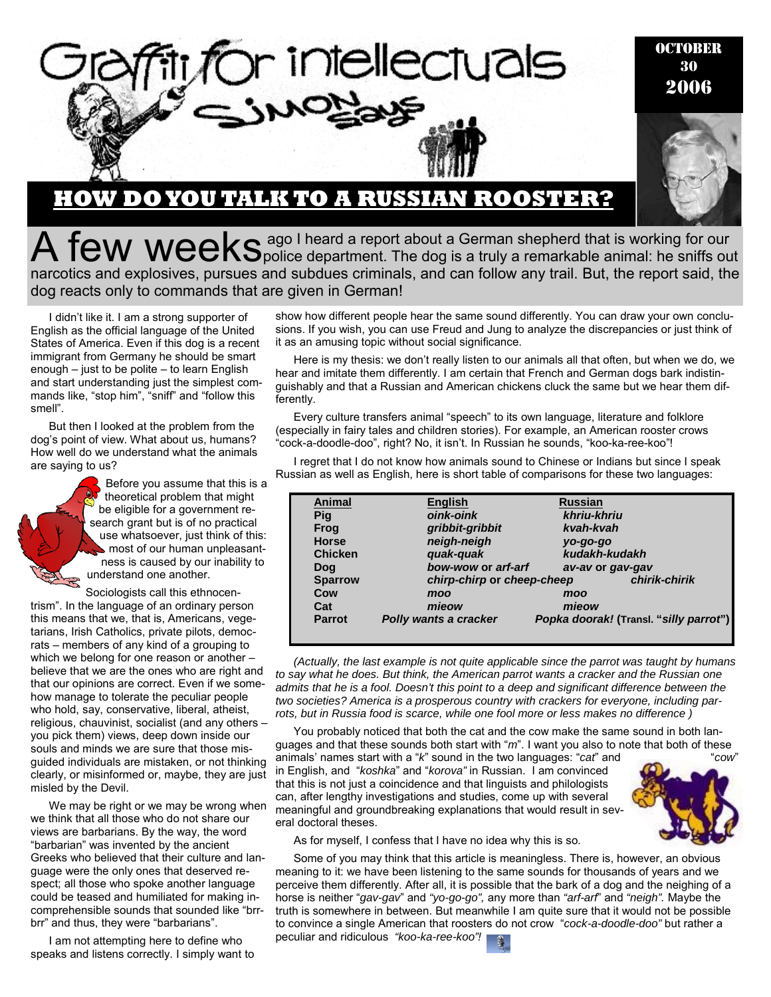

**HOW DO YOU TALK TO A RUSSIAN ROOSTER?**

 $A$   $few$   $week$   $se^{aqo}$  I heard a report about a German shepherd that is working for our  $e^{i\theta}$  is a truly a remarkable animal: he sniffs out narcotics and explosives, pursues and subdues criminals, and can follow any trail. But, the report said, the dog reacts only to commands that are given in German!

I didn't like it. I am a strong supporter of English as the official language of the United States of America. Even if this dog is a recent immigrant from Germany he should be smart enough – just to be polite – to learn English and start understanding just the simplest commands like, "stop him", "sniff" and "follow this smell".

But then I looked at the problem from the dog's point of view. What about us, humans? How well do we understand what the animals are saying to us?

> Before you assume that this is a theoretical problem that might be eligible for a government research grant but is of no practical use whatsoever, just think of this: most of our human unpleasantness is caused by our inability to understand one another.

Sociologists call this ethnocentrism". In the language of an ordinary person this means that we, that is, Americans, vegetarians, Irish Catholics, private pilots, democrats – members of any kind of a grouping to which we belong for one reason or another believe that we are the ones who are right and that our opinions are correct. Even if we somehow manage to tolerate the peculiar people who hold, say, conservative, liberal, atheist, religious, chauvinist, socialist (and any others – you pick them) views, deep down inside our souls and minds we are sure that those misguided individuals are mistaken, or not thinking clearly, or misinformed or, maybe, they are just misled by the Devil.

We may be right or we may be wrong when we think that all those who do not share our views are barbarians. By the way, the word "barbarian" was invented by the ancient Greeks who believed that their culture and language were the only ones that deserved respect; all those who spoke another language could be teased and humiliated for making incomprehensible sounds that sounded like "brrbrr" and thus, they were "barbarians".

I am not attempting here to define who speaks and listens correctly. I simply want to show how different people hear the same sound differently. You can draw your own conclusions. If you wish, you can use Freud and Jung to analyze the discrepancies or just think of it as an amusing topic without social significance.

Here is my thesis: we don't really listen to our animals all that often, but when we do, we hear and imitate them differently. I am certain that French and German dogs bark indistinguishably and that a Russian and American chickens cluck the same but we hear them differently.

Every culture transfers animal "speech" to its own language, literature and folklore (especially in fairy tales and children stories). For example, an American rooster crows "cock-a-doodle-doo", right? No, it isn't. In Russian he sounds, "koo-ka-ree-koo"!

I regret that I do not know how animals sound to Chinese or Indians but since I speak Russian as well as English, here is short table of comparisons for these two languages:

| <b>Animal</b>  | <b>English</b>             | <b>Russian</b>                         |  |
|----------------|----------------------------|----------------------------------------|--|
| Pig            | oink-oink                  | khriu-khriu                            |  |
| <b>Frog</b>    | gribbit-gribbit            | kvah-kvah                              |  |
| <b>Horse</b>   | neigh-neigh                | yo-go-go                               |  |
| <b>Chicken</b> | quak-quak                  | kudakh-kudakh                          |  |
| Dog            | bow-wow or arf-arf         | av-av or gav-gav                       |  |
| <b>Sparrow</b> | chirp-chirp or cheep-cheep | chirik-chirik                          |  |
| Cow            | moo                        | moo                                    |  |
| Cat            | mieow                      | mieow                                  |  |
| <b>Parrot</b>  | Polly wants a cracker      | Popka doorak! (Transl. "silly parrot") |  |
|                |                            |                                        |  |

*(Actually, the last example is not quite applicable since the parrot was taught by humans to say what he does. But think, the American parrot wants a cracker and the Russian one admits that he is a fool. Doesn't this point to a deep and significant difference between the two societies? America is a prosperous country with crackers for everyone, including parrots, but in Russia food is scarce, while one fool more or less makes no difference )* 

You probably noticed that both the cat and the cow make the same sound in both languages and that these sounds both start with "*m*". I want you also to note that both of these animals' names start with a "*k*" sound in the two languages: "*cat*" and "*cow*"

in English, and "*koshka*" and "*korova"* in Russian. I am convinced that this is not just a coincidence and that linguists and philologists can, after lengthy investigations and studies, come up with several meaningful and groundbreaking explanations that would result in several doctoral theses.



30

As for myself, I confess that I have no idea why this is so.

Some of you may think that this article is meaningless. There is, however, an obvious meaning to it: we have been listening to the same sounds for thousands of years and we perceive them differently. After all, it is possible that the bark of a dog and the neighing of a horse is neither "*gav-gav*" and *"yo-go-go",* any more than *"arf-arf*" and *"neigh".* Maybe the truth is somewhere in between. But meanwhile I am quite sure that it would not be possible to convince a single American that roosters do not crow "*cock-a-doodle-doo"* but rather a peculiar and ridiculous *"koo-ka-ree-koo"!* 

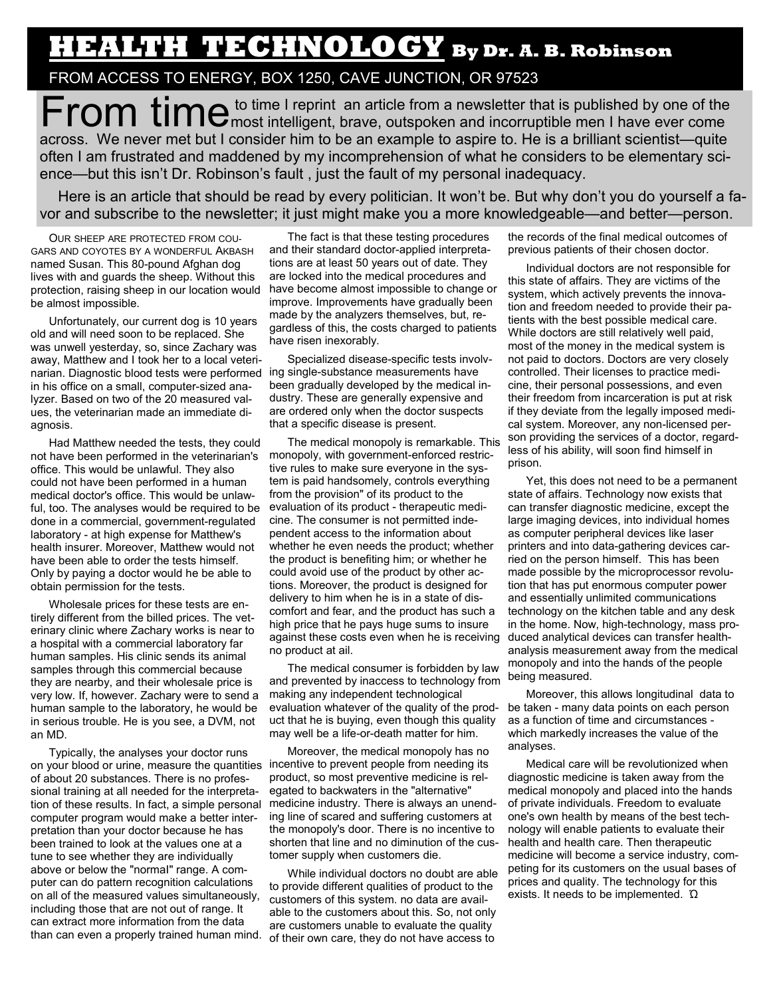## **HEALTH TECHNOLOGY By Dr. A. B. Robinson**

## FROM ACCESS TO ENERGY, BOX 1250, CAVE JUNCTION, OR 97523

From time I reprint an article from a newsletter that is published by one of the **From the state of the state of the state** ever come across. We never met but I consider him to be an example to aspire to. He is a brilliant scientist—quite often I am frustrated and maddened by my incomprehension of what he considers to be elementary science—but this isn't Dr. Robinson's fault , just the fault of my personal inadequacy.

Here is an article that should be read by every politician. It won't be. But why don't you do yourself a favor and subscribe to the newsletter; it just might make you a more knowledgeable—and better—person.

OUR SHEEP ARE PROTECTED FROM COU-GARS AND COYOTES BY A WONDERFUL AKBASH named Susan. This 80-pound Afghan dog lives with and guards the sheep. Without this protection, raising sheep in our location would be almost impossible.

Unfortunately, our current dog is 10 years old and will need soon to be replaced. She was unwell yesterday, so, since Zachary was away, Matthew and I took her to a local veterinarian. Diagnostic blood tests were performed ing single-substance measurements have in his office on a small, computer-sized analyzer. Based on two of the 20 measured values, the veterinarian made an immediate diagnosis.

Had Matthew needed the tests, they could not have been performed in the veterinarian's office. This would be unlawful. They also could not have been performed in a human medical doctor's office. This would be unlawful, too. The analyses would be required to be done in a commercial, government-regulated laboratory - at high expense for Matthew's health insurer. Moreover, Matthew would not have been able to order the tests himself. Only by paying a doctor would he be able to obtain permission for the tests.

Wholesale prices for these tests are entirely different from the billed prices. The veterinary clinic where Zachary works is near to a hospital with a commercial laboratory far human samples. His clinic sends its animal samples through this commercial because they are nearby, and their wholesale price is very low. If, however. Zachary were to send a human sample to the laboratory, he would be in serious trouble. He is you see, a DVM, not an MD.

Typically, the analyses your doctor runs on your blood or urine, measure the quantities incentive to prevent people from needing its of about 20 substances. There is no professional training at all needed for the interpretation of these results. In fact, a simple personal computer program would make a better interpretation than your doctor because he has been trained to look at the values one at a tune to see whether they are individually above or below the "normaI" range. A computer can do pattern recognition calculations on all of the measured values simultaneously, including those that are not out of range. It can extract more information from the data than can even a properly trained human mind.

The fact is that these testing procedures and their standard doctor-applied interpretations are at least 50 years out of date. They are locked into the medical procedures and have become almost impossible to change or improve. Improvements have gradually been made by the analyzers themselves, but, regardless of this, the costs charged to patients have risen inexorably.

Specialized disease-specific tests involvbeen gradually developed by the medical industry. These are generally expensive and are ordered only when the doctor suspects that a specific disease is present.

The medical monopoly is remarkable. This monopoly, with government-enforced restrictive rules to make sure everyone in the system is paid handsomely, controls everything from the provision" of its product to the evaluation of its product - therapeutic medicine. The consumer is not permitted independent access to the information about whether he even needs the product; whether the product is benefiting him; or whether he could avoid use of the product by other actions. Moreover, the product is designed for delivery to him when he is in a state of discomfort and fear, and the product has such a high price that he pays huge sums to insure against these costs even when he is receiving no product at ail.

The medical consumer is forbidden by law and prevented by inaccess to technology from making any independent technological evaluation whatever of the quality of the product that he is buying, even though this quality may well be a life-or-death matter for him.

Moreover, the medical monopoly has no product, so most preventive medicine is relegated to backwaters in the "alternative" medicine industry. There is always an unending line of scared and suffering customers at the monopoly's door. There is no incentive to shorten that line and no diminution of the customer supply when customers die.

While individual doctors no doubt are able to provide different qualities of product to the customers of this system. no data are available to the customers about this. So, not only are customers unable to evaluate the quality of their own care, they do not have access to

the records of the final medical outcomes of previous patients of their chosen doctor.

Individual doctors are not responsible for this state of affairs. They are victims of the system, which actively prevents the innovation and freedom needed to provide their patients with the best possible medical care. While doctors are still relatively well paid, most of the money in the medical system is not paid to doctors. Doctors are very closely controlled. Their licenses to practice medicine, their personal possessions, and even their freedom from incarceration is put at risk if they deviate from the legally imposed medical system. Moreover, any non-licensed person providing the services of a doctor, regardless of his ability, will soon find himself in prison.

Yet, this does not need to be a permanent state of affairs. Technology now exists that can transfer diagnostic medicine, except the large imaging devices, into individual homes as computer peripheral devices like laser printers and into data-gathering devices carried on the person himself. This has been made possible by the microprocessor revolution that has put enormous computer power and essentially unlimited communications technology on the kitchen table and any desk in the home. Now, high-technology, mass produced analytical devices can transfer healthanalysis measurement away from the medical monopoly and into the hands of the people being measured.

Moreover, this allows longitudinal data to be taken - many data points on each person as a function of time and circumstances which markedly increases the value of the analyses.

Medical care will be revolutionized when diagnostic medicine is taken away from the medical monopoly and placed into the hands of private individuals. Freedom to evaluate one's own health by means of the best technology will enable patients to evaluate their health and health care. Then therapeutic medicine will become a service industry, competing for its customers on the usual bases of prices and quality. The technology for this exists. It needs to be implemented. Ώ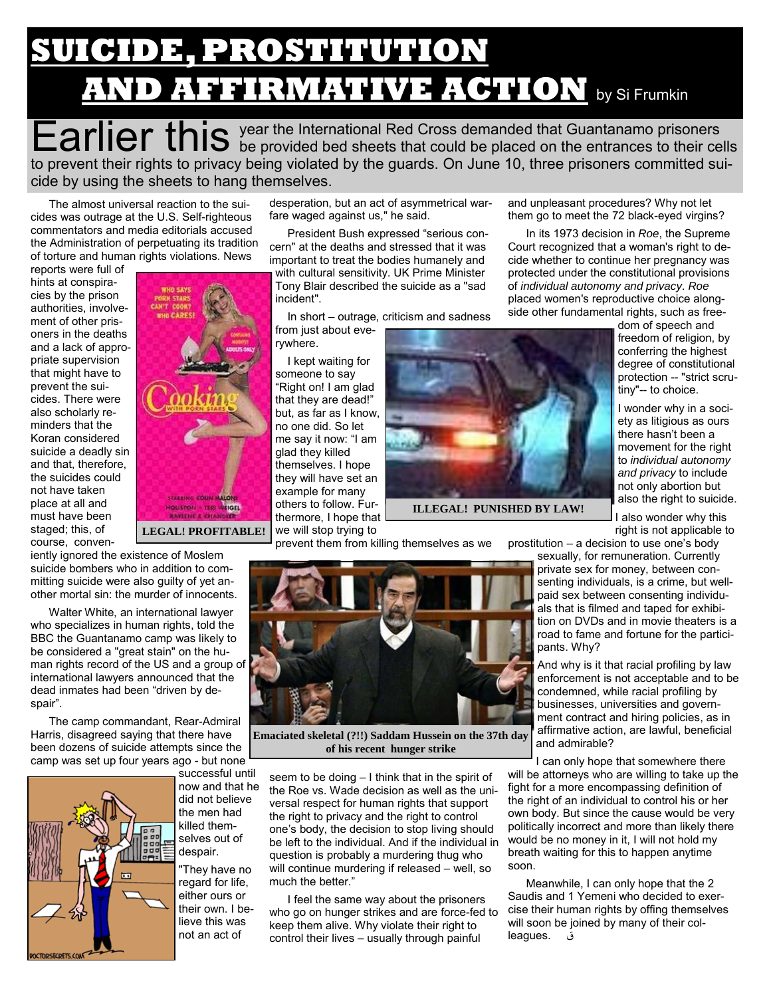## **SUICIDE, PROSTITUTION AND AFFIRMATIVE ACTION** by Si Frumkin

Earlier this year the International Red Cross demanded that Guantanamo prisoners between the placed on the entrances to their cells to prevent their rights to privacy being violated by the guards. On June 10, three prisoners committed suicide by using the sheets to hang themselves.

The almost universal reaction to the suicides was outrage at the U.S. Self-righteous commentators and media editorials accused the Administration of perpetuating its tradition of torture and human rights violations. News

reports were full of hints at conspiracies by the prison authorities, involvement of other prisoners in the deaths and a lack of appropriate supervision that might have to prevent the suicides. There were also scholarly reminders that the Koran considered suicide a deadly sin and that, therefore, the suicides could not have taken place at all and must have been staged; this, of course, conven-

iently ignored the existence of Moslem suicide bombers who in addition to committing suicide were also guilty of yet another mortal sin: the murder of innocents.

Walter White, an international lawyer who specializes in human rights, told the BBC the Guantanamo camp was likely to be considered a "great stain" on the human rights record of the US and a group of international lawyers announced that the dead inmates had been "driven by despair".

The camp commandant, Rear-Admiral Harris, disagreed saying that there have been dozens of suicide attempts since the camp was set up four years ago - but none



successful until now and that he did not believe the men had killed themselves out of despair.

**LEGAL! PROFITABLE!** 

"They have no regard for life, either ours or their own. I believe this was not an act of

desperation, but an act of asymmetrical warfare waged against us," he said.

President Bush expressed "serious concern" at the deaths and stressed that it was important to treat the bodies humanely and with cultural sensitivity. UK Prime Minister Tony Blair described the suicide as a "sad incident".

In short – outrage, criticism and sadness from just about everywhere.

I kept waiting for someone to say "Right on! I am glad that they are dead!" but, as far as I know, no one did. So let me say it now: "I am glad they killed themselves. I hope they will have set an example for many others to follow. Furthermore, I hope that we will stop trying to

prevent them from killing themselves as we

**ILLEGAL! PUNISHED BY LAW!** 



**Emaciated skeletal (?!!) Saddam Hussein on the 37th day of his recent hunger strike** 

seem to be doing – I think that in the spirit of the Roe vs. Wade decision as well as the universal respect for human rights that support the right to privacy and the right to control one's body, the decision to stop living should be left to the individual. And if the individual in question is probably a murdering thug who will continue murdering if released – well, so much the better."

I feel the same way about the prisoners who go on hunger strikes and are force-fed to keep them alive. Why violate their right to control their lives – usually through painful

and unpleasant procedures? Why not let them go to meet the 72 black-eyed virgins?

In its 1973 decision in *Roe*, the Supreme Court recognized that a woman's right to decide whether to continue her pregnancy was protected under the constitutional provisions of *individual autonomy and privacy*. *Roe* placed women's reproductive choice alongside other fundamental rights, such as free-

> dom of speech and freedom of religion, by conferring the highest degree of constitutional protection -- "strict scrutiny"-- to choice.

> I wonder why in a society as litigious as ours there hasn't been a movement for the right to *individual autonomy and privacy* to include not only abortion but also the right to suicide.

I also wonder why this right is not applicable to

prostitution – a decision to use one's body

sexually, for remuneration. Currently private sex for money, between consenting individuals, is a crime, but wellpaid sex between consenting individuals that is filmed and taped for exhibition on DVDs and in movie theaters is a road to fame and fortune for the participants. Why?

And why is it that racial profiling by law enforcement is not acceptable and to be condemned, while racial profiling by businesses, universities and government contract and hiring policies, as in affirmative action, are lawful, beneficial and admirable?

I can only hope that somewhere there will be attorneys who are willing to take up the fight for a more encompassing definition of the right of an individual to control his or her own body. But since the cause would be very politically incorrect and more than likely there would be no money in it, I will not hold my breath waiting for this to happen anytime soon.

Meanwhile, I can only hope that the 2 Saudis and 1 Yemeni who decided to exercise their human rights by offing themselves will soon be joined by many of their colleagues. ق